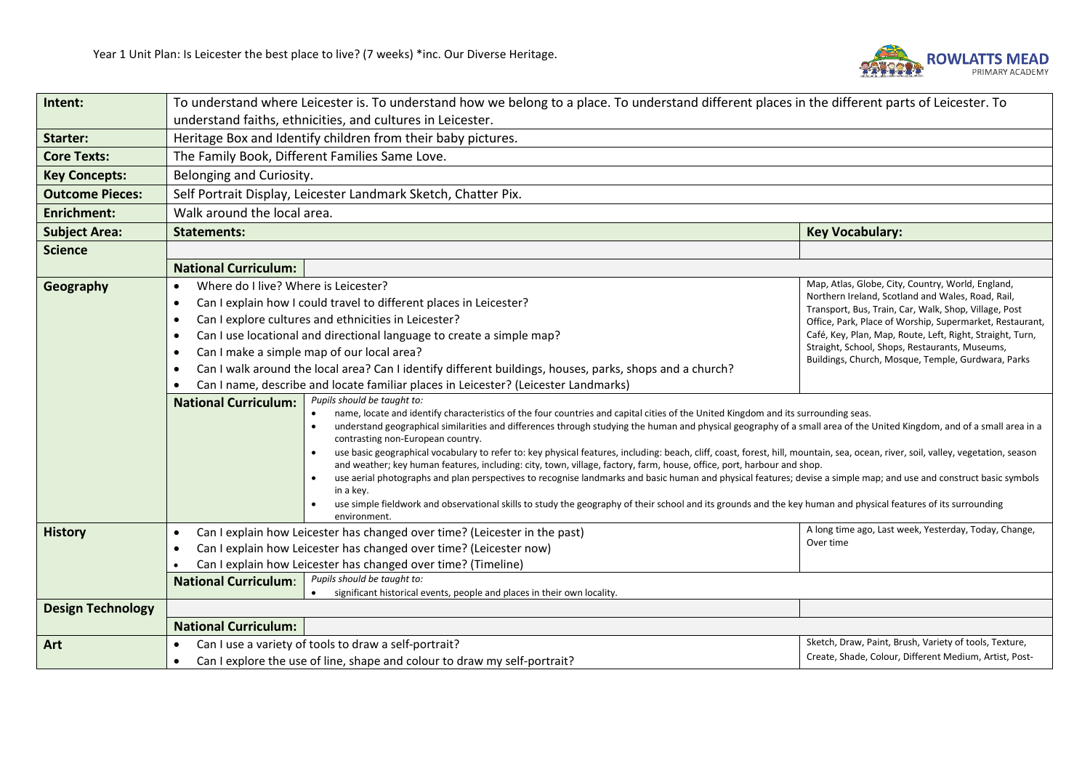

| Intent:                  | To understand where Leicester is. To understand how we belong to a place. To understand different places in the different parts of Leicester. To                                                                                                                                                                                                                                                                                                                                                                                                                                                                  |                                                                                                            |  |  |  |  |  |
|--------------------------|-------------------------------------------------------------------------------------------------------------------------------------------------------------------------------------------------------------------------------------------------------------------------------------------------------------------------------------------------------------------------------------------------------------------------------------------------------------------------------------------------------------------------------------------------------------------------------------------------------------------|------------------------------------------------------------------------------------------------------------|--|--|--|--|--|
|                          | understand faiths, ethnicities, and cultures in Leicester.                                                                                                                                                                                                                                                                                                                                                                                                                                                                                                                                                        |                                                                                                            |  |  |  |  |  |
| Starter:                 | Heritage Box and Identify children from their baby pictures.                                                                                                                                                                                                                                                                                                                                                                                                                                                                                                                                                      |                                                                                                            |  |  |  |  |  |
| <b>Core Texts:</b>       | The Family Book, Different Families Same Love.                                                                                                                                                                                                                                                                                                                                                                                                                                                                                                                                                                    |                                                                                                            |  |  |  |  |  |
| <b>Key Concepts:</b>     | Belonging and Curiosity.                                                                                                                                                                                                                                                                                                                                                                                                                                                                                                                                                                                          |                                                                                                            |  |  |  |  |  |
| <b>Outcome Pieces:</b>   | Self Portrait Display, Leicester Landmark Sketch, Chatter Pix.                                                                                                                                                                                                                                                                                                                                                                                                                                                                                                                                                    |                                                                                                            |  |  |  |  |  |
| <b>Enrichment:</b>       | Walk around the local area.                                                                                                                                                                                                                                                                                                                                                                                                                                                                                                                                                                                       |                                                                                                            |  |  |  |  |  |
| <b>Subject Area:</b>     | <b>Statements:</b>                                                                                                                                                                                                                                                                                                                                                                                                                                                                                                                                                                                                | <b>Key Vocabulary:</b>                                                                                     |  |  |  |  |  |
| <b>Science</b>           |                                                                                                                                                                                                                                                                                                                                                                                                                                                                                                                                                                                                                   |                                                                                                            |  |  |  |  |  |
|                          | <b>National Curriculum:</b>                                                                                                                                                                                                                                                                                                                                                                                                                                                                                                                                                                                       |                                                                                                            |  |  |  |  |  |
| Geography                | Where do I live? Where is Leicester?                                                                                                                                                                                                                                                                                                                                                                                                                                                                                                                                                                              | Map, Atlas, Globe, City, Country, World, England,                                                          |  |  |  |  |  |
|                          | Can I explain how I could travel to different places in Leicester?<br>$\bullet$                                                                                                                                                                                                                                                                                                                                                                                                                                                                                                                                   | Northern Ireland, Scotland and Wales, Road, Rail,<br>Transport, Bus, Train, Car, Walk, Shop, Village, Post |  |  |  |  |  |
|                          | Can I explore cultures and ethnicities in Leicester?<br>$\bullet$                                                                                                                                                                                                                                                                                                                                                                                                                                                                                                                                                 | Office, Park, Place of Worship, Supermarket, Restaurant,                                                   |  |  |  |  |  |
|                          | Can I use locational and directional language to create a simple map?<br>$\bullet$                                                                                                                                                                                                                                                                                                                                                                                                                                                                                                                                | Café, Key, Plan, Map, Route, Left, Right, Straight, Turn,                                                  |  |  |  |  |  |
|                          | Can I make a simple map of our local area?<br>$\bullet$                                                                                                                                                                                                                                                                                                                                                                                                                                                                                                                                                           | Straight, School, Shops, Restaurants, Museums,<br>Buildings, Church, Mosque, Temple, Gurdwara, Parks       |  |  |  |  |  |
|                          | Can I walk around the local area? Can I identify different buildings, houses, parks, shops and a church?                                                                                                                                                                                                                                                                                                                                                                                                                                                                                                          |                                                                                                            |  |  |  |  |  |
|                          | Can I name, describe and locate familiar places in Leicester? (Leicester Landmarks)                                                                                                                                                                                                                                                                                                                                                                                                                                                                                                                               |                                                                                                            |  |  |  |  |  |
|                          | Pupils should be taught to:<br><b>National Curriculum:</b><br>name, locate and identify characteristics of the four countries and capital cities of the United Kingdom and its surrounding seas.<br>$\bullet$<br>understand geographical similarities and differences through studying the human and physical geography of a small area of the United Kingdom, and of a small area in a<br>contrasting non-European country.<br>use basic geographical vocabulary to refer to: key physical features, including: beach, cliff, coast, forest, hill, mountain, sea, ocean, river, soil, valley, vegetation, season |                                                                                                            |  |  |  |  |  |
|                          | and weather; key human features, including: city, town, village, factory, farm, house, office, port, harbour and shop.                                                                                                                                                                                                                                                                                                                                                                                                                                                                                            |                                                                                                            |  |  |  |  |  |
|                          | use aerial photographs and plan perspectives to recognise landmarks and basic human and physical features; devise a simple map; and use and construct basic symbols<br>in a key.                                                                                                                                                                                                                                                                                                                                                                                                                                  |                                                                                                            |  |  |  |  |  |
|                          | use simple fieldwork and observational skills to study the geography of their school and its grounds and the key human and physical features of its surrounding<br>environment.                                                                                                                                                                                                                                                                                                                                                                                                                                   |                                                                                                            |  |  |  |  |  |
| <b>History</b>           | Can I explain how Leicester has changed over time? (Leicester in the past)<br>$\bullet$                                                                                                                                                                                                                                                                                                                                                                                                                                                                                                                           | A long time ago, Last week, Yesterday, Today, Change,                                                      |  |  |  |  |  |
|                          | Over time<br>Can I explain how Leicester has changed over time? (Leicester now)<br>Can I explain how Leicester has changed over time? (Timeline)                                                                                                                                                                                                                                                                                                                                                                                                                                                                  |                                                                                                            |  |  |  |  |  |
|                          |                                                                                                                                                                                                                                                                                                                                                                                                                                                                                                                                                                                                                   |                                                                                                            |  |  |  |  |  |
|                          | Pupils should be taught to:<br><b>National Curriculum:</b>                                                                                                                                                                                                                                                                                                                                                                                                                                                                                                                                                        |                                                                                                            |  |  |  |  |  |
|                          | significant historical events, people and places in their own locality.                                                                                                                                                                                                                                                                                                                                                                                                                                                                                                                                           |                                                                                                            |  |  |  |  |  |
| <b>Design Technology</b> | <b>National Curriculum:</b>                                                                                                                                                                                                                                                                                                                                                                                                                                                                                                                                                                                       |                                                                                                            |  |  |  |  |  |
| Art                      | Sketch, Draw, Paint, Brush, Variety of tools, Texture,                                                                                                                                                                                                                                                                                                                                                                                                                                                                                                                                                            |                                                                                                            |  |  |  |  |  |
|                          | Can I use a variety of tools to draw a self-portrait?                                                                                                                                                                                                                                                                                                                                                                                                                                                                                                                                                             | Create, Shade, Colour, Different Medium, Artist, Post-                                                     |  |  |  |  |  |
|                          | Can I explore the use of line, shape and colour to draw my self-portrait?<br>$\bullet$                                                                                                                                                                                                                                                                                                                                                                                                                                                                                                                            |                                                                                                            |  |  |  |  |  |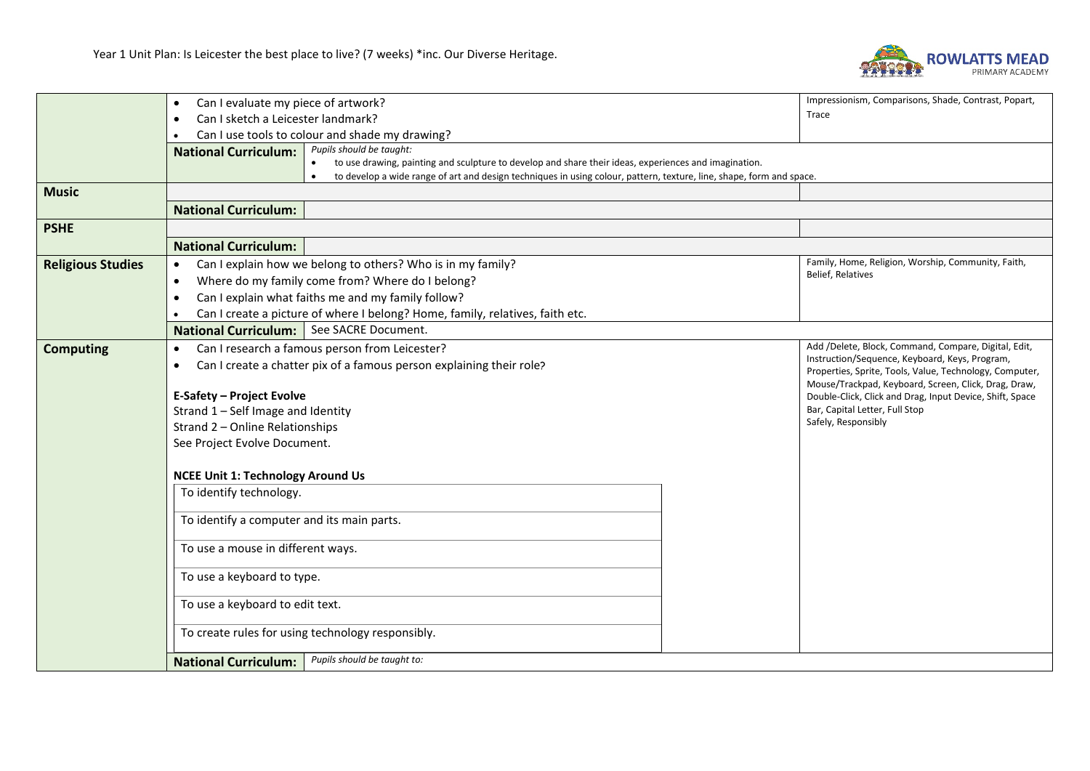

|                          | Can I evaluate my piece of artwork?<br>$\bullet$                                                                                         | Impressionism, Comparisons, Shade, Contrast, Popart,                                                            |  |  |  |  |  |  |
|--------------------------|------------------------------------------------------------------------------------------------------------------------------------------|-----------------------------------------------------------------------------------------------------------------|--|--|--|--|--|--|
|                          | Can I sketch a Leicester landmark?                                                                                                       | Trace                                                                                                           |  |  |  |  |  |  |
|                          | Can I use tools to colour and shade my drawing?                                                                                          |                                                                                                                 |  |  |  |  |  |  |
|                          | Pupils should be taught:<br><b>National Curriculum:</b>                                                                                  |                                                                                                                 |  |  |  |  |  |  |
|                          | to use drawing, painting and sculpture to develop and share their ideas, experiences and imagination.                                    |                                                                                                                 |  |  |  |  |  |  |
|                          | to develop a wide range of art and design techniques in using colour, pattern, texture, line, shape, form and space.<br>$\bullet$        |                                                                                                                 |  |  |  |  |  |  |
| <b>Music</b>             |                                                                                                                                          |                                                                                                                 |  |  |  |  |  |  |
|                          | <b>National Curriculum:</b>                                                                                                              |                                                                                                                 |  |  |  |  |  |  |
| <b>PSHE</b>              |                                                                                                                                          |                                                                                                                 |  |  |  |  |  |  |
|                          | <b>National Curriculum:</b>                                                                                                              |                                                                                                                 |  |  |  |  |  |  |
| <b>Religious Studies</b> | Can I explain how we belong to others? Who is in my family?<br>$\bullet$                                                                 | Family, Home, Religion, Worship, Community, Faith,                                                              |  |  |  |  |  |  |
|                          | Where do my family come from? Where do I belong?<br>$\bullet$                                                                            | Belief, Relatives                                                                                               |  |  |  |  |  |  |
|                          | Can I explain what faiths me and my family follow?<br>$\bullet$                                                                          |                                                                                                                 |  |  |  |  |  |  |
|                          | Can I create a picture of where I belong? Home, family, relatives, faith etc.<br>$\bullet$<br>National Curriculum:   See SACRE Document. |                                                                                                                 |  |  |  |  |  |  |
|                          |                                                                                                                                          |                                                                                                                 |  |  |  |  |  |  |
| <b>Computing</b>         | Can I research a famous person from Leicester?<br>$\bullet$                                                                              | Add /Delete, Block, Command, Compare, Digital, Edit,                                                            |  |  |  |  |  |  |
|                          | Can I create a chatter pix of a famous person explaining their role?<br>٠                                                                | Instruction/Sequence, Keyboard, Keys, Program,                                                                  |  |  |  |  |  |  |
|                          |                                                                                                                                          | Properties, Sprite, Tools, Value, Technology, Computer,<br>Mouse/Trackpad, Keyboard, Screen, Click, Drag, Draw, |  |  |  |  |  |  |
|                          | <b>E-Safety - Project Evolve</b>                                                                                                         | Double-Click, Click and Drag, Input Device, Shift, Space                                                        |  |  |  |  |  |  |
|                          | Strand 1 - Self Image and Identity                                                                                                       | Bar, Capital Letter, Full Stop                                                                                  |  |  |  |  |  |  |
|                          | Strand 2 - Online Relationships                                                                                                          | Safely, Responsibly                                                                                             |  |  |  |  |  |  |
|                          | See Project Evolve Document.                                                                                                             |                                                                                                                 |  |  |  |  |  |  |
|                          |                                                                                                                                          |                                                                                                                 |  |  |  |  |  |  |
|                          | <b>NCEE Unit 1: Technology Around Us</b>                                                                                                 |                                                                                                                 |  |  |  |  |  |  |
|                          | To identify technology.                                                                                                                  |                                                                                                                 |  |  |  |  |  |  |
|                          | To identify a computer and its main parts.<br>To use a mouse in different ways.                                                          |                                                                                                                 |  |  |  |  |  |  |
|                          |                                                                                                                                          |                                                                                                                 |  |  |  |  |  |  |
|                          |                                                                                                                                          |                                                                                                                 |  |  |  |  |  |  |
|                          |                                                                                                                                          |                                                                                                                 |  |  |  |  |  |  |
|                          | To use a keyboard to type.                                                                                                               |                                                                                                                 |  |  |  |  |  |  |
|                          |                                                                                                                                          |                                                                                                                 |  |  |  |  |  |  |
|                          | To use a keyboard to edit text.                                                                                                          |                                                                                                                 |  |  |  |  |  |  |
|                          | To create rules for using technology responsibly.                                                                                        |                                                                                                                 |  |  |  |  |  |  |
|                          |                                                                                                                                          |                                                                                                                 |  |  |  |  |  |  |
|                          | Pupils should be taught to:                                                                                                              |                                                                                                                 |  |  |  |  |  |  |
|                          | <b>National Curriculum:</b>                                                                                                              |                                                                                                                 |  |  |  |  |  |  |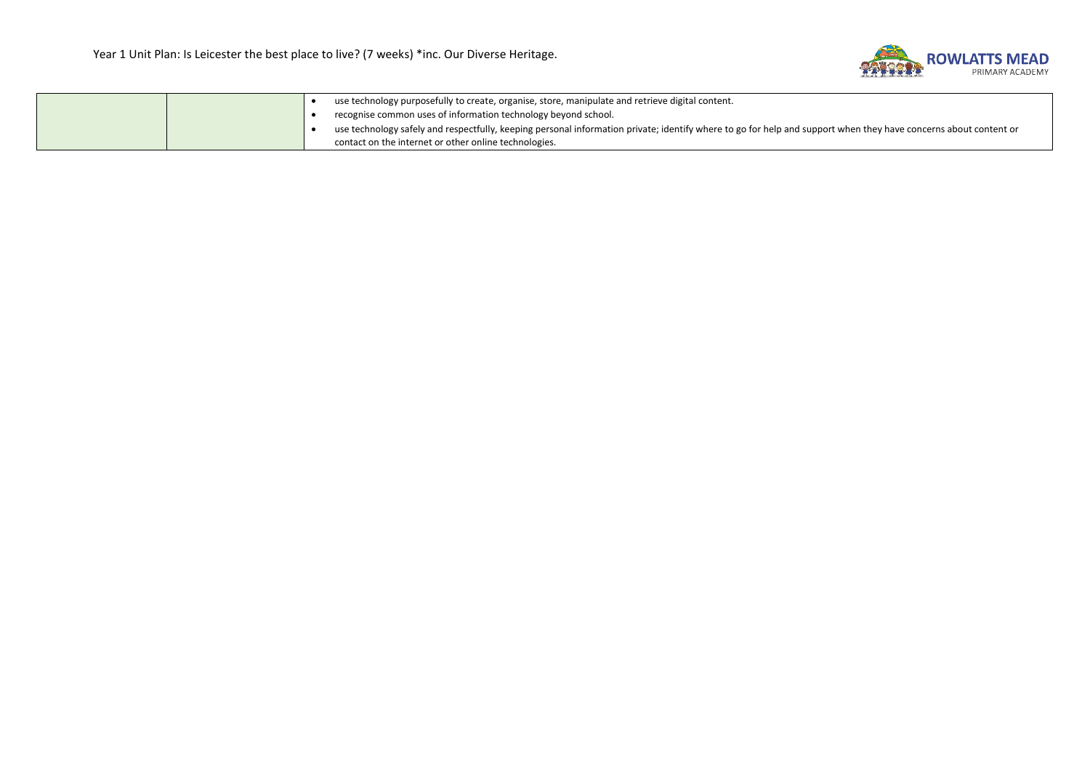

|  | use technology purposefully to create, organise, store, manipulate and retrieve digital content.                                                                 |
|--|------------------------------------------------------------------------------------------------------------------------------------------------------------------|
|  | recognise common uses of information technology beyond school.                                                                                                   |
|  | use technology safely and respectfully, keeping personal information private; identify where to go for help and support when they have concerns about content or |
|  | contact on the internet or other online technologies.                                                                                                            |